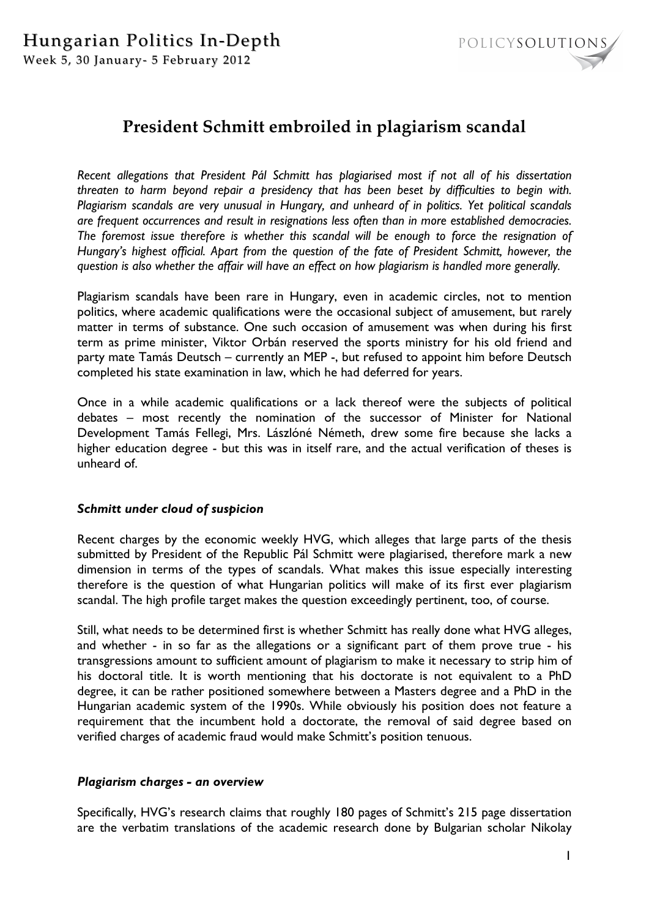### Hungarian Politics In-Depth Week 5, 30 January- 5 February 2012



### **President Schmitt embroiled in plagiarism scandal**

*Recent allegations that President Pál Schmitt has plagiarised most if not all of his dissertation threaten to harm beyond repair a presidency that has been beset by difficulties to begin with. Plagiarism scandals are very unusual in Hungary, and unheard of in politics. Yet political scandals are frequent occurrences and result in resignations less often than in more established democracies. The foremost issue therefore is whether this scandal will be enough to force the resignation of Hungary's highest official. Apart from the question of the fate of President Schmitt, however, the question is also whether the affair will have an effect on how plagiarism is handled more generally.* 

Plagiarism scandals have been rare in Hungary, even in academic circles, not to mention politics, where academic qualifications were the occasional subject of amusement, but rarely matter in terms of substance. One such occasion of amusement was when during his first term as prime minister, Viktor Orbán reserved the sports ministry for his old friend and party mate Tamás Deutsch – currently an MEP -, but refused to appoint him before Deutsch completed his state examination in law, which he had deferred for years.

Once in a while academic qualifications or a lack thereof were the subjects of political debates – most recently the nomination of the successor of Minister for National Development Tamás Fellegi, Mrs. Lászlóné Németh, drew some fire because she lacks a higher education degree - but this was in itself rare, and the actual verification of theses is unheard of.

#### *Schmitt under cloud of suspicion*

Recent charges by the economic weekly HVG, which alleges that large parts of the thesis submitted by President of the Republic Pál Schmitt were plagiarised, therefore mark a new dimension in terms of the types of scandals. What makes this issue especially interesting therefore is the question of what Hungarian politics will make of its first ever plagiarism scandal. The high profile target makes the question exceedingly pertinent, too, of course.

Still, what needs to be determined first is whether Schmitt has really done what HVG alleges, and whether - in so far as the allegations or a significant part of them prove true - his transgressions amount to sufficient amount of plagiarism to make it necessary to strip him of his doctoral title. It is worth mentioning that his doctorate is not equivalent to a PhD degree, it can be rather positioned somewhere between a Masters degree and a PhD in the Hungarian academic system of the 1990s. While obviously his position does not feature a requirement that the incumbent hold a doctorate, the removal of said degree based on verified charges of academic fraud would make Schmitt's position tenuous.

#### *Plagiarism charges - an overview*

Specifically, HVG's research claims that roughly 180 pages of Schmitt's 215 page dissertation are the verbatim translations of the academic research done by Bulgarian scholar Nikolay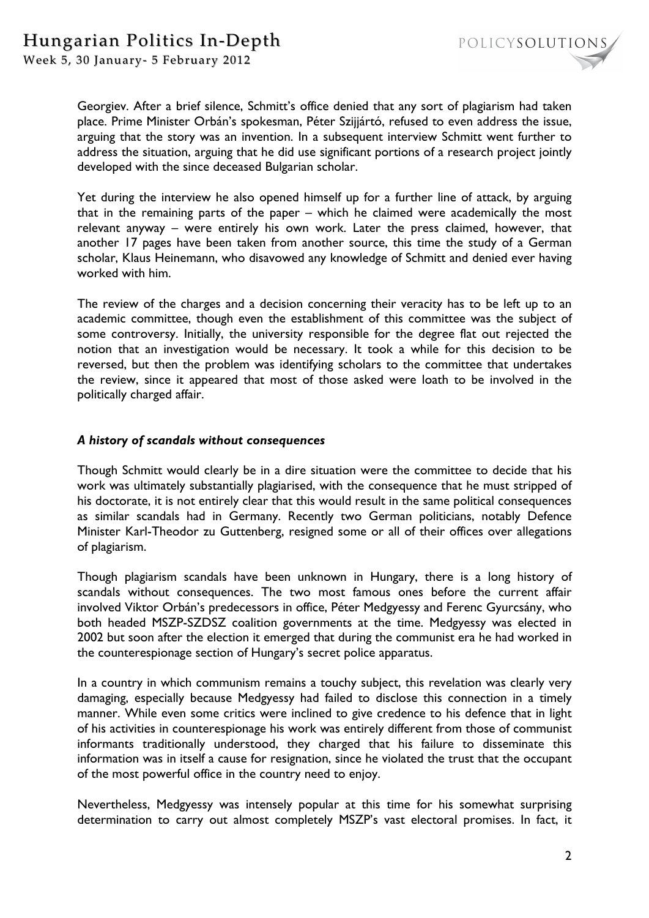## Hungarian Politics In-Depth



Week 5, 30 January- 5 February 2012

Georgiev. After a brief silence, Schmitt's office denied that any sort of plagiarism had taken place. Prime Minister Orbán's spokesman, Péter Szijjártó, refused to even address the issue, arguing that the story was an invention. In a subsequent interview Schmitt went further to address the situation, arguing that he did use significant portions of a research project jointly developed with the since deceased Bulgarian scholar.

Yet during the interview he also opened himself up for a further line of attack, by arguing that in the remaining parts of the paper – which he claimed were academically the most relevant anyway – were entirely his own work. Later the press claimed, however, that another 17 pages have been taken from another source, this time the study of a German scholar, Klaus Heinemann, who disavowed any knowledge of Schmitt and denied ever having worked with him.

The review of the charges and a decision concerning their veracity has to be left up to an academic committee, though even the establishment of this committee was the subject of some controversy. Initially, the university responsible for the degree flat out rejected the notion that an investigation would be necessary. It took a while for this decision to be reversed, but then the problem was identifying scholars to the committee that undertakes the review, since it appeared that most of those asked were loath to be involved in the politically charged affair.

#### *A history of scandals without consequences*

Though Schmitt would clearly be in a dire situation were the committee to decide that his work was ultimately substantially plagiarised, with the consequence that he must stripped of his doctorate, it is not entirely clear that this would result in the same political consequences as similar scandals had in Germany. Recently two German politicians, notably Defence Minister Karl-Theodor zu Guttenberg, resigned some or all of their offices over allegations of plagiarism.

Though plagiarism scandals have been unknown in Hungary, there is a long history of scandals without consequences. The two most famous ones before the current affair involved Viktor Orbán's predecessors in office, Péter Medgyessy and Ferenc Gyurcsány, who both headed MSZP-SZDSZ coalition governments at the time. Medgyessy was elected in 2002 but soon after the election it emerged that during the communist era he had worked in the counterespionage section of Hungary's secret police apparatus.

In a country in which communism remains a touchy subject, this revelation was clearly very damaging, especially because Medgyessy had failed to disclose this connection in a timely manner. While even some critics were inclined to give credence to his defence that in light of his activities in counterespionage his work was entirely different from those of communist informants traditionally understood, they charged that his failure to disseminate this information was in itself a cause for resignation, since he violated the trust that the occupant of the most powerful office in the country need to enjoy.

Nevertheless, Medgyessy was intensely popular at this time for his somewhat surprising determination to carry out almost completely MSZP's vast electoral promises. In fact, it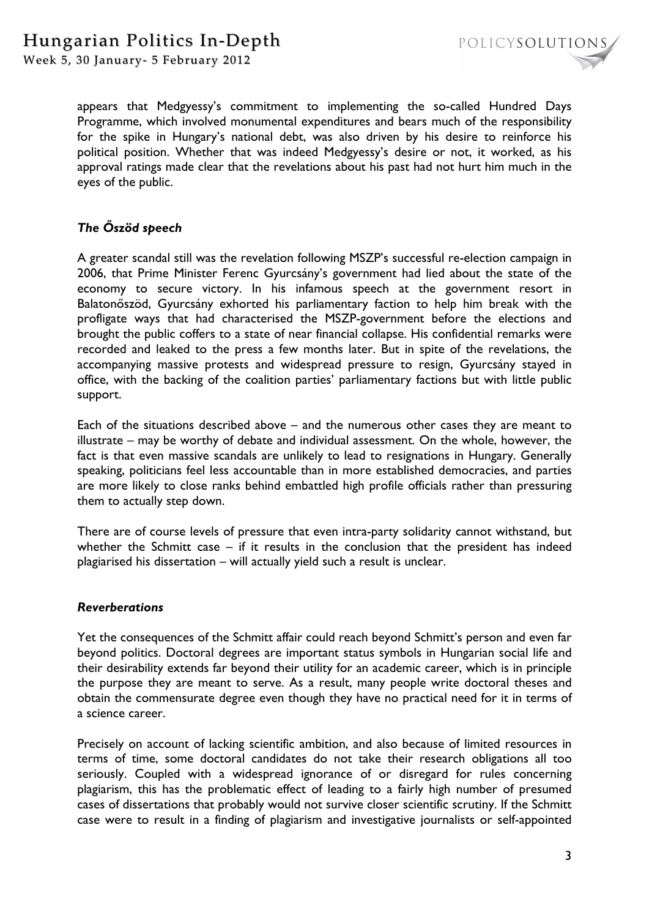### Hungarian Politics In-Depth

Week 5, 30 January- 5 February 2012

appears that Medgyessy's commitment to implementing the so-called Hundred Days Programme, which involved monumental expenditures and bears much of the responsibility for the spike in Hungary's national debt, was also driven by his desire to reinforce his political position. Whether that was indeed Medgyessy's desire or not, it worked, as his approval ratings made clear that the revelations about his past had not hurt him much in the eyes of the public.

#### *The Őszöd speech*

A greater scandal still was the revelation following MSZP's successful re-election campaign in 2006, that Prime Minister Ferenc Gyurcsány's government had lied about the state of the economy to secure victory. In his infamous speech at the government resort in Balatonőszöd, Gyurcsány exhorted his parliamentary faction to help him break with the profligate ways that had characterised the MSZP-government before the elections and brought the public coffers to a state of near financial collapse. His confidential remarks were recorded and leaked to the press a few months later. But in spite of the revelations, the accompanying massive protests and widespread pressure to resign, Gyurcsány stayed in office, with the backing of the coalition parties' parliamentary factions but with little public support.

Each of the situations described above – and the numerous other cases they are meant to illustrate – may be worthy of debate and individual assessment. On the whole, however, the fact is that even massive scandals are unlikely to lead to resignations in Hungary. Generally speaking, politicians feel less accountable than in more established democracies, and parties are more likely to close ranks behind embattled high profile officials rather than pressuring them to actually step down.

There are of course levels of pressure that even intra-party solidarity cannot withstand, but whether the Schmitt case – if it results in the conclusion that the president has indeed plagiarised his dissertation – will actually yield such a result is unclear.

#### *Reverberations*

Yet the consequences of the Schmitt affair could reach beyond Schmitt's person and even far beyond politics. Doctoral degrees are important status symbols in Hungarian social life and their desirability extends far beyond their utility for an academic career, which is in principle the purpose they are meant to serve. As a result, many people write doctoral theses and obtain the commensurate degree even though they have no practical need for it in terms of a science career.

Precisely on account of lacking scientific ambition, and also because of limited resources in terms of time, some doctoral candidates do not take their research obligations all too seriously. Coupled with a widespread ignorance of or disregard for rules concerning plagiarism, this has the problematic effect of leading to a fairly high number of presumed cases of dissertations that probably would not survive closer scientific scrutiny. If the Schmitt case were to result in a finding of plagiarism and investigative journalists or self-appointed